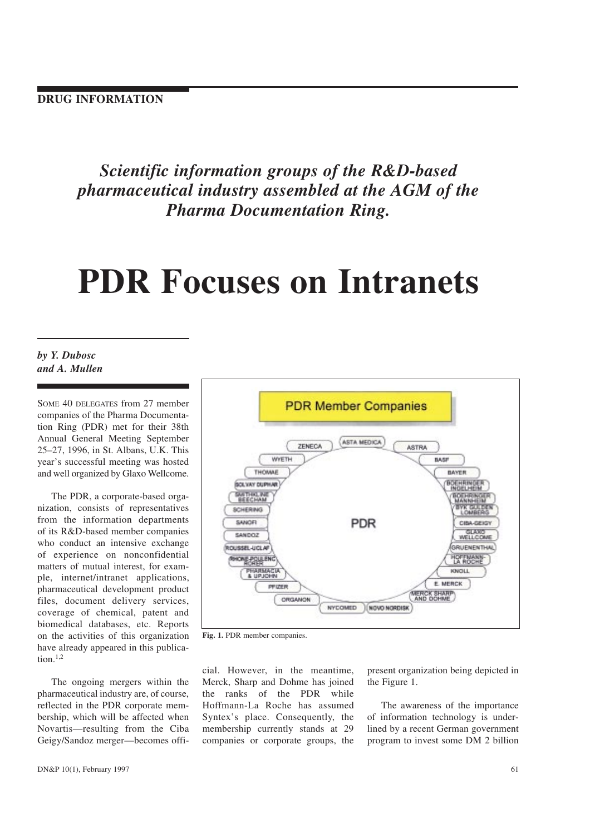Scientific information groups of the R&D-based pharmaceutical industry assembled at the AGM of the Pharma Documentation Ring.

# PDR Focuses on Intranets

# by Y. Dubosc and A. Mullen

SOME 40 DELEGATES from 27 member companies of the Pharma Documentation Ring (PDR) met for their 38th Annual General Meeting September 2527, 1996, in St. Albans, U.K. This year's successful meeting was hosted and well organized by Glaxo Wellcome.

The PDR, a corporate-based organization, consists of representatives from the information departments of its R&D-based member companies who conduct an intensive exchange of experience on nonconfidential matters of mutual interest, for example, internet/intranet applications, pharmaceutical development product files, document delivery services, coverage of chemical, patent and biomedical databases, etc. Reports on the activities of this organization have already appeared in this publication. $1,2$ 

The ongoing mergers within the pharmaceutical industry are, of course, reflected in the PDR corporate membership, which will be affected when Novartis-resulting from the Ciba Geigy/Sandoz merger-becomes offi-



Fig. 1. PDR member companies.

cial. However, in the meantime, Merck, Sharp and Dohme has joined the ranks of the PDR while Hoffmann-La Roche has assumed Syntex's place. Consequently, the membership currently stands at 29 companies or corporate groups, the

present organization being depicted in the Figure 1.

The awareness of the importance of information technology is underlined by a recent German government program to invest some DM 2 billion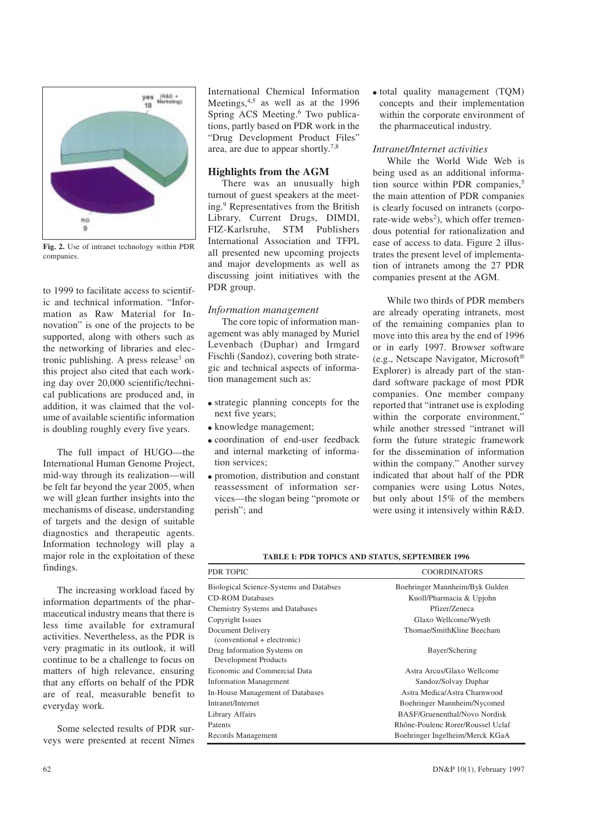

Fig. 2. Use of intranet technology within PDR companies.

to 1999 to facilitate access to scientific and technical information. "Information as Raw Material for Innovation" is one of the projects to be supported, along with others such as the networking of libraries and electronic publishing. A press release<sup>3</sup> on this project also cited that each working day over 20,000 scientific/technical publications are produced and, in addition, it was claimed that the volume of available scientific information is doubling roughly every five years.

The full impact of HUGO-the International Human Genome Project, mid-way through its realization-will be felt far beyond the year 2005, when we will glean further insights into the mechanisms of disease, understanding of targets and the design of suitable diagnostics and therapeutic agents. Information technology will play a major role in the exploitation of these findings.

The increasing workload faced by information departments of the pharmaceutical industry means that there is less time available for extramural activities. Nevertheless, as the PDR is very pragmatic in its outlook, it will continue to be a challenge to focus on matters of high relevance, ensuring that any efforts on behalf of the PDR are of real, measurable benefit to everyday work.

Some selected results of PDR surveys were presented at recent Nîmes International Chemical Information Meetings,  $4,5$  as well as at the 1996 Spring ACS Meeting.<sup>6</sup> Two publications, partly based on PDR work in the Drug Development Product Files area, are due to appear shortly.7,8

## Highlights from the AGM

There was an unusually high turnout of guest speakers at the meeting.9 Representatives from the British Library, Current Drugs, DIMDI, FIZ-Karlsruhe, STM Publishers International Association and TFPL all presented new upcoming projects and major developments as well as discussing joint initiatives with the PDR group.

## Information management

The core topic of information management was ably managed by Muriel Levenbach (Duphar) and Irmgard Fischli (Sandoz), covering both strategic and technical aspects of information management such as:

- strategic planning concepts for the next five years;
- knowledge management;
- <sup>l</sup> coordination of end-user feedback and internal marketing of information services;
- $\bullet$  promotion, distribution and constant reassessment of information services—the slogan being "promote or perish"; and

• total quality management (TQM) concepts and their implementation within the corporate environment of the pharmaceutical industry.

## Intranet/Internet activities

While the World Wide Web is being used as an additional information source within PDR companies,<sup>5</sup> the main attention of PDR companies is clearly focused on intranets (corporate-wide webs<sup>2</sup>), which offer tremendous potential for rationalization and ease of access to data. Figure 2 illustrates the present level of implementation of intranets among the 27 PDR companies present at the AGM.

While two thirds of PDR members are already operating intranets, most of the remaining companies plan to move into this area by the end of 1996 or in early 1997. Browser software (e.g., Netscape Navigator, Microsoft® Explorer) is already part of the standard software package of most PDR companies. One member company reported that "intranet use is exploding within the corporate environment," while another stressed "intranet will form the future strategic framework for the dissemination of information within the company." Another survey indicated that about half of the PDR companies were using Lotus Notes, but only about 15% of the members were using it intensively within R&D.

TABLE I: PDR TOPICS AND STATUS, SEPTEMBER 1996

| PDR TOPIC                                           | <b>COORDINATORS</b>               |
|-----------------------------------------------------|-----------------------------------|
| Biological Science-Systems and Databses             | Boehringer Mannheim/Byk Gulden    |
| <b>CD-ROM Databases</b>                             | Knoll/Pharmacia & Upjohn          |
| Chemistry Systems and Databases                     | Pfizer/Zeneca                     |
| Copyright Issues                                    | Glaxo Wellcome/Wyeth              |
| Document Delivery<br>(conventional + electronic)    | Thomae/SmithKline Beecham         |
| Drug Information Systems on<br>Development Products | Bayer/Schering                    |
| Economic and Commercial Data                        | Astra Arcus/Glaxo Wellcome        |
| <b>Information Management</b>                       | Sandoz/Solvay Duphar              |
| In-House Management of Databases                    | Astra Medica/Astra Charnwood      |
| Intranet/Internet                                   | Boehringer Mannheim/Nycomed       |
| Library Affairs                                     | BASF/Gruenenthal/Novo Nordisk     |
| Patents                                             | Rhône-Poulenc Rorer/Roussel Uclaf |
| Records Management                                  | Boehringer Ingelheim/Merck KGaA   |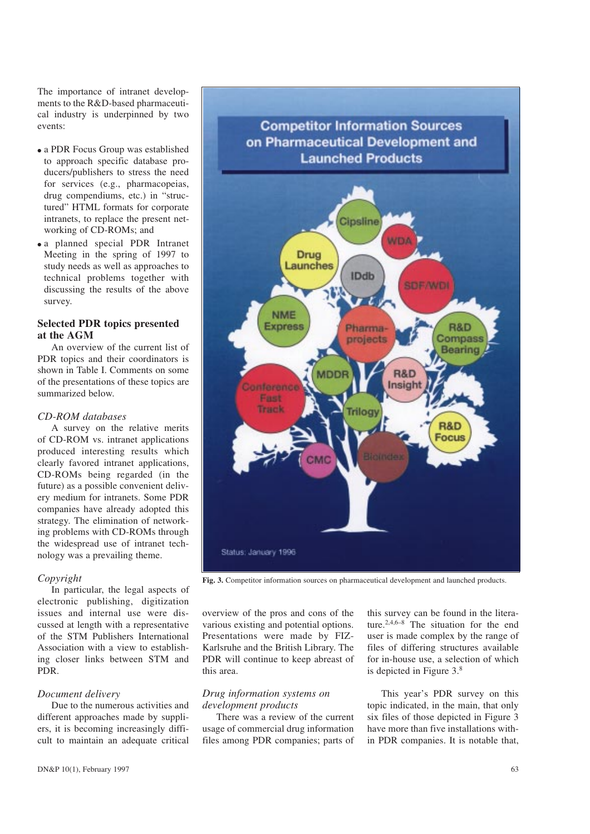The importance of intranet developments to the R&D-based pharmaceutical industry is underpinned by two events:

- a PDR Focus Group was established to approach specific database producers/publishers to stress the need for services (e.g., pharmacopeias, drug compendiums, etc.) in "structured" HTML formats for corporate intranets, to replace the present networking of CD-ROMs; and
- a planned special PDR Intranet Meeting in the spring of 1997 to study needs as well as approaches to technical problems together with discussing the results of the above survey.

## Selected PDR topics presented at the AGM

An overview of the current list of PDR topics and their coordinators is shown in Table I. Comments on some of the presentations of these topics are summarized below.

## CD-ROM databases

A survey on the relative merits of CD-ROM vs. intranet applications produced interesting results which clearly favored intranet applications, CD-ROMs being regarded (in the future) as a possible convenient delivery medium for intranets. Some PDR companies have already adopted this strategy. The elimination of networking problems with CD-ROMs through the widespread use of intranet technology was a prevailing theme.

## Copyright

In particular, the legal aspects of electronic publishing, digitization issues and internal use were discussed at length with a representative of the STM Publishers International Association with a view to establishing closer links between STM and PDR.

## Document delivery

Due to the numerous activities and different approaches made by suppliers, it is becoming increasingly difficult to maintain an adequate critical



Fig. 3. Competitor information sources on pharmaceutical development and launched products.

overview of the pros and cons of the various existing and potential options. Presentations were made by FIZ-Karlsruhe and the British Library. The PDR will continue to keep abreast of this area.

#### Drug information systems on development products

There was a review of the current usage of commercial drug information files among PDR companies; parts of this survey can be found in the literature.<sup>2,4,6-8</sup> The situation for the end user is made complex by the range of files of differing structures available for in-house use, a selection of which is depicted in Figure 3.8

This year's PDR survey on this topic indicated, in the main, that only six files of those depicted in Figure 3 have more than five installations within PDR companies. It is notable that,